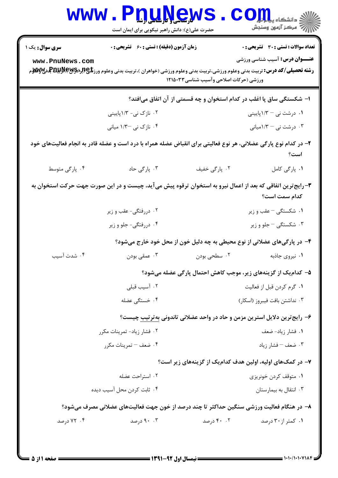| w w w                                                                                                                         | <b>ال سال و تاریبایی با بیا</b><br>حضرت علی(ع): دانش راهبر نیکویی برای ایمان است                                                                       |                                        | دانشگاه پ <b>یای</b><br>رِ ۖ مرڪز آزمون وسنڊش                                         |
|-------------------------------------------------------------------------------------------------------------------------------|--------------------------------------------------------------------------------------------------------------------------------------------------------|----------------------------------------|---------------------------------------------------------------------------------------|
| <b>سری سوال :</b> یک ۱<br>www.PnuNews.com                                                                                     | <b>زمان آزمون (دقیقه) : تستی : 60 ٪ تشریحی : 0</b>                                                                                                     |                                        | <b>تعداد سوالات : تستی : 30 ٪ تشریحی : 0</b><br><b>عنـــوان درس:</b> آسیب شناسی ورزشی |
|                                                                                                                               | <b>رشته تحصیلی/کد درس:</b> تربیت بدنی وعلوم ورزشی،تربیت بدنی وعلوم ورزشی (خواهران )،تربیت بدنی وعلوم ورز <b>شگی(لپلیتش به تصیلی/کد درس:</b> تربیت بدنی | ورزشی (حرکات اصلاحی وآسیب شناسی۱۲۱۵۰۳۳ |                                                                                       |
|                                                                                                                               |                                                                                                                                                        |                                        | ا– شکستگی ساق پا اغلب در کدام استخوان و چه قسمتی از آن اتفاق میافتد؟                  |
|                                                                                                                               | ۰۲ نازک نی- ۱/۳پایینی                                                                                                                                  |                                        | ۰۱ درشت نی $-$ ۱/۳بایینی                                                              |
|                                                                                                                               | ۰۴ نازک نی -۱/۳ میانی                                                                                                                                  |                                        | ۰۳ درشت نی $-$ ۱/۳میانی                                                               |
|                                                                                                                               | ۲- در کدام نوع پارگی عضلانی، هر نوع فعالیتی برای انقباض عضله همراه با درد است و عضله قادر به انجام فعالیتهای خود                                       |                                        | است؟                                                                                  |
| ۰۴ پارگی متوسط                                                                                                                | ۰۳ پارگی حاد                                                                                                                                           | ۰۲ پارگی خفیف                          | ٠١. پارگی کامل                                                                        |
| ۳- رایج ترین اتفاقی که بعد از اعمال نیرو به استخوان ترقوه پیش می آید، چیست و در این صورت جهت حرکت استخوان به<br>كدام سمت است؟ |                                                                                                                                                        |                                        |                                                                                       |
|                                                                                                                               | ۰۲ دررفتگی- عقب و زیر                                                                                                                                  |                                        | ۰۱ شکستگی – عقب و زیر                                                                 |
|                                                                                                                               | ۰۴ دررفتگی- جلو و زیر                                                                                                                                  |                                        | ۰۳ شکستگی <sup>–</sup> جلو و زیر                                                      |
|                                                                                                                               |                                                                                                                                                        |                                        | ۴- در پارگیهای عضلانی از نوع محیطی به چه دلیل خون از محل خود خارج میشود؟              |
| ۰۴ شدت آسیب                                                                                                                   | ۰۳ عمقی بودن                                                                                                                                           | ۰۲ سطحی بودن                           | ۰۱ نیروی جاذبه                                                                        |
|                                                                                                                               |                                                                                                                                                        |                                        | ۵– کدام یک از گزینههای زیر، موجب کاهش احتمال پارگی عضله میشود؟                        |
|                                                                                                                               | ۰۲ آسیب قبلی                                                                                                                                           |                                        | ٠١. گرم كردن قبل از فعاليت                                                            |
|                                                                                                                               | ۰۴ خستگی عضله                                                                                                                                          |                                        | ۰۳ نداشتن بافت فيبروز (اسكار)                                                         |
|                                                                                                                               |                                                                                                                                                        |                                        | ۶– رایج ترین دلایل استرین مزمن و حاد در واحد عضلانی تاندونی به ترتیب چیست؟            |
|                                                                                                                               | ۰۲ فشار زیاد- تمرینات مکرر                                                                                                                             | ٠١ فشار زياد- ضعف                      |                                                                                       |
|                                                                                                                               | ۰۴ ضعف – تمرينات مكرر                                                                                                                                  |                                        | ۰۳ ضعف – فشار زياد                                                                    |
|                                                                                                                               |                                                                                                                                                        |                                        | ۷– در کمکهای اولیه، اولین هدف کدامیک از گزینههای زیر است؟                             |
|                                                                                                                               | ۰۲ استراحت عضله                                                                                                                                        |                                        | ۰۱ متوقف کردن خونریزی                                                                 |
|                                                                                                                               | ۰۴ ثابت کردن محل آسیب دیده                                                                                                                             |                                        | ۰۳ انتقال به بیمارستان                                                                |
|                                                                                                                               | ۸– در هنگام فعالیت ورزشی سنگین حداکثر تا چند درصد از خون جهت فعالیتهای عضلانی مصرف میشود؟                                                              |                                        |                                                                                       |
| ۰۴ درصد                                                                                                                       | ۰.۳ درصد                                                                                                                                               | ۴۰ ۰۲ درصد                             | ۰۱ کمتر از ۳۰ درصد                                                                    |
|                                                                                                                               |                                                                                                                                                        |                                        |                                                                                       |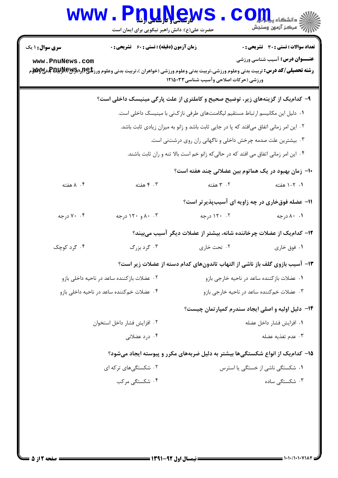| <b>WWW</b>                                | <b>DUAYEW</b><br>حضرت علی(ع): دانش راهبر نیکویی برای ایمان است                                                                                                                                               |                                                                                                                                                                                                                                              | د دانشکاه پ <b>یا پایالی</b><br>رآب امرڪز آزمون وسنڊش                                                                                    |
|-------------------------------------------|--------------------------------------------------------------------------------------------------------------------------------------------------------------------------------------------------------------|----------------------------------------------------------------------------------------------------------------------------------------------------------------------------------------------------------------------------------------------|------------------------------------------------------------------------------------------------------------------------------------------|
| <b>سری سوال : ۱ یک</b><br>www.PnuNews.com | <b>زمان آزمون (دقیقه) : تستی : 60 ٪ تشریحی : 0</b><br><b>رشته تحصیلی/کد درس:</b> تربیت بدنی وعلوم ورزشی،تربیت بدنی وعلوم ورزشی (خواهران )،تربیت بدنی وعلوم ورز <b>شگی(لپلیتش به تصیلی/کد درس:</b> تربیت بدنی |                                                                                                                                                                                                                                              | تعداد سوالات : تستى : 30 - تشريحي : 0<br><b>عنـــوان درس:</b> آسیب شناسی ورزشی                                                           |
|                                           | ۹- کدامیک از گزینههای زیر، توضیح صحیح و کاملتری از علت پارگی مینیسک داخلی است؟                                                                                                                               | ورزشی (حرکات اصلاحی وآسیب شناسی۱۲۱۵۰۳۳<br>۰۱ دلیل این مکانیسم ارتباط مستقیم لیگامنتهای طرفی نازکنی با مینیسک داخلی است.                                                                                                                      |                                                                                                                                          |
|                                           |                                                                                                                                                                                                              | ۰۲ این امر زمانی اتفاق میافتد که پا در جایی ثابت باشد و زانو به میزان زیادی ثابت باشد.<br>۰۳ بیشترین علت صدمه چرخش داخلی و ناگهانی ران روی درشتنی است.<br>۰۴ این امر زمانی اتفاق می افتد که در حالیکه زانو خم است بالا تنه و ران ثابت باشند. |                                                                                                                                          |
| ۰۴ ۸ هفته                                 | ۰۳ هفته                                                                                                                                                                                                      | ۰۲ هفته                                                                                                                                                                                                                                      | ∙ا− زمان بهبود در یک هماتوم بین عضلانی چند هفته است؟<br>۰۱ ۲-۱ هفته                                                                      |
| ۰۴ درجه                                   | ۰.۳ و ۱۲۰ درجه                                                                                                                                                                                               | ۰۲ ۱۲۰ درجه                                                                                                                                                                                                                                  | 11- عضله فوقخاری در چه زاویه ای آسیبپذیرتر است؟<br>۰۱ ۸۰ درجه<br>۱۲– کدام یک از عضلات چرخاننده شانه، بیشتر از عضلات دیگر آسیب میبیند؟    |
| ۰۴ گرد کوچک                               | ۰۳ گرد بزرگ<br>۰۲ عضلات بازكننده ساعد در ناحيه داخلي بازو                                                                                                                                                    | ۰۲ تحت خاری                                                                                                                                                                                                                                  | ۰۱ فوق خاري<br>۱۳– آسیب بازوی گلف باز ناشی از التهاب تاندونهای کدام دسته از عضلات زیر است؟<br>۰۱ عضلات بازکننده ساعد در ناحیه خارجی بازو |
|                                           | ۰۴ عضلات خم کننده ساعد در ناحیه داخلی بازو                                                                                                                                                                   |                                                                                                                                                                                                                                              | ۰۳ عضلات خم کننده ساعد در ناحیه خارجی بازو<br>۰۴- دلیل اولیه و اصلی ایجاد سندرم کمپارتمان چیست؟                                          |
|                                           | ٠٢ افزايش فشار داخل استخوان<br>۰۴ درد عضلانی                                                                                                                                                                 |                                                                                                                                                                                                                                              | ٠١. افزايش فشار داخل عضله<br>۰۳ عدم تغذیه عضله<br>۱۵– کدامیک از انواع شکستگیها بیشتر به دلیل ضربههای مکرر و پیوسته ایجاد میشود؟          |
|                                           | ۰۲ شکستگیهای ترکه ای<br>۰۴ شکستگی مرکب                                                                                                                                                                       |                                                                                                                                                                                                                                              | ۰۱ شکستگی ناشی از خستگی یا استرس<br>۰۳ شکستگی ساده                                                                                       |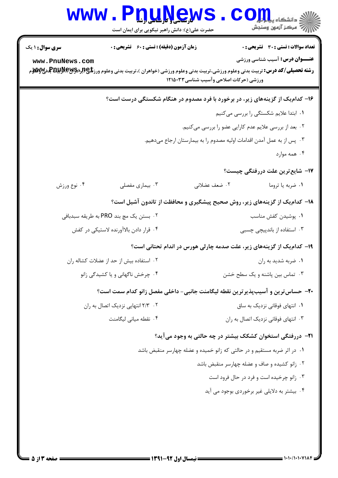| <b>سری سوال : ۱ یک</b> | <b>زمان آزمون (دقیقه) : تستی : 60 ٪ تشریحی : 0</b>                                                                                                                                                                                                |                                                                         | <b>تعداد سوالات : تستی : 30 ٪ تشریحی : 0</b> |
|------------------------|---------------------------------------------------------------------------------------------------------------------------------------------------------------------------------------------------------------------------------------------------|-------------------------------------------------------------------------|----------------------------------------------|
| www.PnuNews.com        | <b>رشته تحصیلی/کد درس:</b> تربیت بدنی وعلوم ورزشی،تربیت بدنی وعلوم ورزشی (خواهران )،تربیت بدنی وعلوم ورز <b>شگی(لپرلیلپرلیلپرلیلوکلپرلاس</b><br>مسته تحصیلی/ <b>کد درس:</b> تربیت بدنی وعلوم ورزشی،تربیت بدنی وعلوم ورزشی (خواهران )،تربیت بدنی و | ورزشی (حرکات اصلاحی وآسیب شناسی۱۲۱۵۰۳۳                                  | <b>عنـــوان درس:</b> آسیب شناسی ورزشی        |
|                        | ۱۶- کدامیک از گزینههای زیر، در برخورد با فرد مصدوم در هنگام شکستگی درست است؟                                                                                                                                                                      |                                                                         |                                              |
|                        |                                                                                                                                                                                                                                                   |                                                                         | ۰۱ ابتدا علایم شکستگی را بررسی میکنیم        |
|                        |                                                                                                                                                                                                                                                   | ۰۲ بعد از بررسی علایم عدم کارایی عضو را بررسی میکنیم.                   |                                              |
|                        |                                                                                                                                                                                                                                                   | ۰۳ پس از به عمل آمدن اقدامات اولیه مصدوم را به بیمارستان ارجاع میدهیم.  |                                              |
|                        |                                                                                                                                                                                                                                                   |                                                                         | ۰۴ همه موارد                                 |
|                        |                                                                                                                                                                                                                                                   |                                                                         | 17- شایع ترین علت دررفتگی چیست؟              |
| ۰۴ نوع ورزش            | ۰۳ بیماری مفصلی                                                                                                                                                                                                                                   | ۰۲ ضعف عضلاني                                                           | ٠١ ضربه يا تروما                             |
|                        | ۱۸– کدام یک از گزینههای زیر، روش صحیح پیشگیری و محافظت از تاندون آشیل است؟                                                                                                                                                                        |                                                                         |                                              |
|                        | ۰۲ بستن یک مچ بند PRO به طریقه سبدبافی                                                                                                                                                                                                            |                                                                         | ٠١. پوشيدن كفش مناسب                         |
|                        | ۰۴ قرار دادن بالاآورنده لاستيكي در كفش                                                                                                                                                                                                            |                                                                         | ۰۳ استفاده از باندپیچی چسبی                  |
|                        |                                                                                                                                                                                                                                                   | ۱۹- کدام یک از گزینههای زیر، علت صدمه چارلی هورس در اندام تحتانی است؟   |                                              |
|                        | ۰۲ استفاده بیش از حد از عضلات کشاله ران                                                                                                                                                                                                           |                                                                         | ۰۱ ضربه شديد به ران                          |
|                        | ۰۴ چرخش ناگهانی و یا کشیدگی زانو                                                                                                                                                                                                                  |                                                                         | ۰۳ تماس بين پاشنه و يک سطح خشن               |
|                        | +۲- حساس ترین و آسیبپذیر ترین نقطه لیگامنت جانبی- داخلی مفصل زانو کدام سمت است؟                                                                                                                                                                   |                                                                         |                                              |
|                        | ۰۲ - ۲/۳ انتهایی نزدیک اتصال به ران                                                                                                                                                                                                               |                                                                         | ۰۱ انتهای فوقانی نزدیک به ساق                |
|                        | ۰۴ نقطه میانی لیگامنت                                                                                                                                                                                                                             |                                                                         | ۰۳ انتهای فوقانی نزدیک اتصال به ران          |
|                        |                                                                                                                                                                                                                                                   | ۲۱− دررفتگی استخوان کشکک بیشتر در چه حالتی به وجود میآید؟               |                                              |
|                        |                                                                                                                                                                                                                                                   | ۰۱ در اثر ضربه مستقیم و در حالتی که زانو خمیده و عضله چهارسر منقبض باشد |                                              |
|                        |                                                                                                                                                                                                                                                   |                                                                         | ۰۲ زانو کشیده و صاف و عضله چهارسر منقبض باشد |
|                        |                                                                                                                                                                                                                                                   |                                                                         | ۰۳ زانو چرخیده است و فرد در حال فرود است     |
|                        |                                                                                                                                                                                                                                                   |                                                                         | ۰۴ بیشتر به دلایلی غیر برخوردی بوجود می آید  |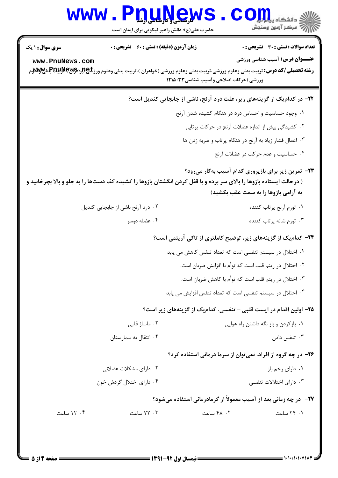## Www.PnuNews.Com

حضرت علی(ع): دانش راهبر نیکویی برای ایمان است

| <b>زمان آزمون (دقیقه) : تستی : 60 ٪ تشریحی : 0</b><br><b>سری سوال : ۱ یک</b><br>www.PnuNews.com | <b>تعداد سوالات : تستی : 30 ٪ تشریحی : 0</b><br><b>عنـــوان درس:</b> آسیب شناسی ورزشی<br><b>رشته تحصیلی/کد درس:</b> تربیت بدنی وعلوم ورزشی،تربیت بدنی وعلوم ورزشی (خواهران )،تربیت بدنی وعلوم ورز <b>شگی(لپلیتش به تصیلی/کد درس:</b> تربیت بدنی<br>ورزشی (حرکات اصلاحی وآسیب شناسی۱۲۱۵۰۳۳ |
|-------------------------------------------------------------------------------------------------|-------------------------------------------------------------------------------------------------------------------------------------------------------------------------------------------------------------------------------------------------------------------------------------------|
|                                                                                                 | <b>۲۲</b> - در کدام یک از گزینههای زیر، علت درد آرنج، ناشی از جابجایی کندیل است؟                                                                                                                                                                                                          |
|                                                                                                 | ۰۱ وجود حساسیت و احساس درد در هنگام کشیده شدن آرنج                                                                                                                                                                                                                                        |
|                                                                                                 | ۰۲ کشیدگی بیش از اندازه عضلات آرنج در حرکات پرتابی                                                                                                                                                                                                                                        |
|                                                                                                 | ۰۳ اعمال فشار زیاد به آرنج در هنگام پرتاب و ضربه زدن ها                                                                                                                                                                                                                                   |
|                                                                                                 | ۰۴ حساسیت و عدم حرکت در عضلات آرنج                                                                                                                                                                                                                                                        |
|                                                                                                 | <b>۲۳</b> - تمرین زیر برای بازپروری کدام آسیب بهکار میرود؟<br>( درحالت ایستاده بازوها را بالای سر برده و با قفل کردن انگشتان بازوها را کشیده کف دستها را به جلو و بالا بچرخانید و<br>به آرامی بازوها را به سمت عقب بکشید)                                                                 |
| ۰۲ درد آرنج ناشی از جابجایی کندیل                                                               | ٠١ تورم آرنج پرتاب كننده                                                                                                                                                                                                                                                                  |
| ۰۴ عضله دوسر                                                                                    | ۰۳ تورم شانه پرتاب کننده                                                                                                                                                                                                                                                                  |
|                                                                                                 | <b>۳۴</b> – کدام یک از گزینههای زیر، توضیح کاملتری از تاکی آریتمی است؟                                                                                                                                                                                                                    |
|                                                                                                 | ۰۱ اختلال در سیستم تنفسی است که تعداد تنفس کاهش می یابد                                                                                                                                                                                                                                   |
|                                                                                                 | ۰۲ اختلال در ریتم قلب است که توأم با افزایش ضربان است.                                                                                                                                                                                                                                    |
|                                                                                                 | ۰۳ اختلال در ریتم قلب است که توأم با کاهش ضربان است.                                                                                                                                                                                                                                      |
|                                                                                                 | ۰۴ اختلال در سیستم تنفسی است که تعداد تنفس افزایش می یابد                                                                                                                                                                                                                                 |
|                                                                                                 | ۲۵– اولین اقدام در ایست قلبی – تنفسی، کدامیک از گزینههای زیر است؟                                                                                                                                                                                                                         |
| ۰۲ ماساژ قلبی                                                                                   | ۰۱ باز کردن و باز نگه داشتن راه هوایی                                                                                                                                                                                                                                                     |
| ۰۴ انتقال به بیمارستان                                                                          | ۰۳ تنفس دادن                                                                                                                                                                                                                                                                              |
|                                                                                                 | ۲۶- در چه گروه از افراد، نمیتوان از سرما درمانی استفاده کرد؟                                                                                                                                                                                                                              |
| ۰۲ دارای مشکلات عضلانی                                                                          | ۰۱ دارای زخم باز                                                                                                                                                                                                                                                                          |
| ۰۴ دارای اختلال گردش خون                                                                        | ۰۳ دارای اختلالات تنفسی                                                                                                                                                                                                                                                                   |
|                                                                                                 | <b>۲۷</b> -   در چه زمانی بعد از آسیب معمولاً از گرمادرمانی استفاده میشود؟                                                                                                                                                                                                                |
| ۰۳ ساعت<br>۰۴ ۱۲ ساعت                                                                           | ۴۸ . ۴۸ ساعت<br>۰۱ ۲۴ ساعت                                                                                                                                                                                                                                                                |
|                                                                                                 |                                                                                                                                                                                                                                                                                           |